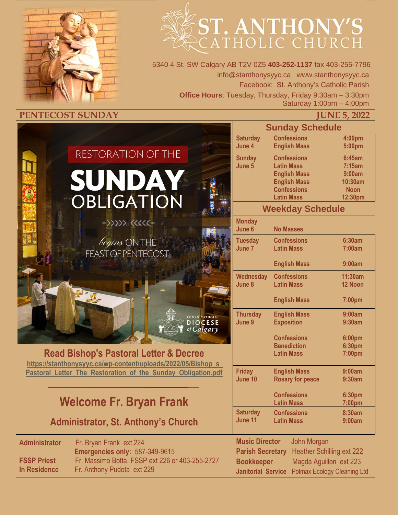



5340 4 St. SW Calgary AB T2V 0Z5 **403-252-1137** fax 403-255-7796 info@stanthonysyyc.ca www.stanthonysyyc.ca Facebook: St. Anthony's Catholic Parish **Office Hours**: Tuesday, Thursday, Friday 9:30am – 3:30pm Saturday 1:00pm – 4:00pm

|                      |                                                              | <b>Sunday Schedule</b>    |                                         |                  |
|----------------------|--------------------------------------------------------------|---------------------------|-----------------------------------------|------------------|
|                      |                                                              | <b>Saturday</b>           | <b>Confessions</b>                      | 4:00pm           |
|                      |                                                              | June 4                    | <b>English Mass</b>                     | 5:00pm           |
|                      | RESTORATION OF THE                                           | <b>Sunday</b>             | <b>Confessions</b>                      | 6:45am           |
|                      |                                                              | June 5                    | <b>Latin Mass</b>                       | 7:15am           |
|                      |                                                              |                           | <b>English Mass</b>                     | 9:00am           |
|                      | SUNDAY                                                       |                           | <b>English Mass</b>                     | 10:30am          |
|                      |                                                              |                           | <b>Confessions</b>                      | <b>Noon</b>      |
|                      | OBLIGATION                                                   |                           | <b>Latin Mass</b>                       | 12:30pm          |
|                      |                                                              |                           | <b>Weekday Schedule</b>                 |                  |
|                      | $\gg$                                                        | <b>Monday</b>             |                                         |                  |
|                      |                                                              | June 6                    | <b>No Masses</b>                        |                  |
|                      |                                                              | <b>Tuesday</b>            | <b>Confessions</b>                      | 6:30am           |
|                      | <i>begins</i> ONTHE<br>FEAST OF PENTECOST                    | June 7                    | <b>Latin Mass</b>                       | 7:00am           |
|                      |                                                              |                           | <b>English Mass</b>                     | 9:00am           |
|                      |                                                              | <b>Wednesday</b>          | <b>Confessions</b>                      | 11:30am          |
|                      |                                                              | June 8                    | <b>Latin Mass</b>                       | 12 Noon          |
|                      |                                                              |                           |                                         |                  |
|                      |                                                              |                           | <b>English Mass</b>                     | 7:00pm           |
|                      |                                                              | <b>Thursday</b>           | <b>English Mass</b>                     | 9:00am           |
|                      | ROMAN CATHOLIC<br><b>DIOCESE</b>                             | June 9                    | <b>Exposition</b>                       | 9:30am           |
|                      | of Calgary                                                   |                           |                                         |                  |
|                      |                                                              |                           | <b>Confessions</b>                      | 6:00pm           |
|                      | <b>Read Bishop's Pastoral Letter &amp; Decree</b>            |                           | <b>Benediction</b><br><b>Latin Mass</b> | 6:30pm<br>7:00pm |
|                      | https://stanthonysyyc.ca/wp-content/uploads/2022/05/Bishop s |                           |                                         |                  |
|                      | Pastoral Letter The Restoration of the Sunday Obligation.pdf | <b>Friday</b>             | <b>English Mass</b>                     | 9:00am           |
|                      |                                                              | June 10                   | <b>Rosary for peace</b>                 | 9:30am           |
|                      |                                                              |                           |                                         |                  |
|                      | <b>Welcome Fr. Bryan Frank</b>                               |                           | <b>Confessions</b><br><b>Latin Mass</b> | 6:30pm<br>7:00pm |
|                      |                                                              | <b>Saturday</b>           | <b>Confessions</b>                      | 8:30am           |
|                      | <b>Administrator, St. Anthony's Church</b>                   | June 11                   | <b>Latin Mass</b>                       | 9:00am           |
|                      |                                                              |                           |                                         |                  |
| <b>Administrator</b> | Fr. Bryan Frank ext 224                                      | <b>Music Director</b>     | John Morgan                             |                  |
|                      | <b>Emergencies only: 587-349-9615</b>                        | <b>Parish Secretary</b>   | <b>Heather Schilling ext 222</b>        |                  |
| <b>FSSP Priest</b>   | Fr. Massimo Botta, FSSP ext 226 or 403-255-2727              | <b>Bookkeeper</b>         | Magda Aguillon ext 223                  |                  |
| <b>In Residence</b>  | Fr. Anthony Pudota ext 229                                   | <b>Janitorial Service</b> | <b>Polmax Ecology Cleaning Ltd</b>      |                  |
|                      |                                                              |                           |                                         |                  |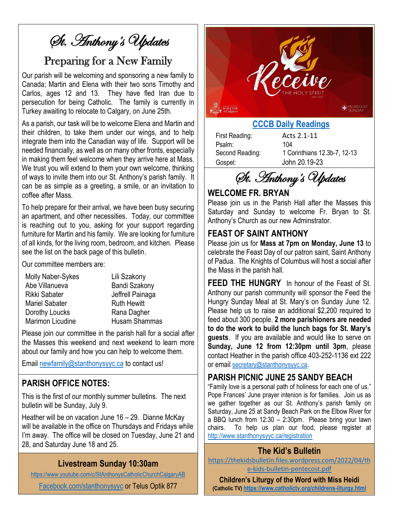# St. Anthony's Updates

### Preparing for a New Family

Our parish will be welcoming and sponsoring a new family to Canada; Martin and Elena with their two sons Timothy and Carlos, ages 12 and 13. They have fled Iran due to persecution for being Catholic. The family is currently in Turkey awaiting to relocate to Calgary, on June 25th.

As a parish, our task will be to welcome Elena and Martin and their children, to take them under our wings, and to help integrate them into the Canadian way of life. Support will be needed financially, as well as on many other fronts, especially in making them feel welcome when they arrive here at Mass. We trust you will extend to them your own welcome, thinking of ways to invite them into our St. Anthony's parish family. It can be as simple as a greeting, a smile, or an invitation to coffee after Mass.

To help prepare for their arrival, we have been busy securing an apartment, and other necessities. Today, our committee is reaching out to you, asking for your support regarding furniture for Martin and his family. We are looking for furniture of all kinds, for the living room, bedroom, and kitchen. Please see the list on the back page of this bulletin.

Our committee members are:

| Molly Naber-Sykes       |
|-------------------------|
| Abe Villanueva          |
| Rikki Sabater           |
| <b>Mariel Sabater</b>   |
| Dorothy Loucks          |
| <b>Marimon Licudine</b> |

Lili Szakony Bandi Szakony Jeffrell Painaga Ruth Hewitt Rana Dagher Husam Shammas

Please join our committee in the parish hall for a social after the Masses this weekend and next weekend to learn more about our family and how you can help to welcome them.

Email [newfamily@stanthonysyyc.ca](mailto:newfamily@stanthonysyyc.ca) to contact us!

### **PARISH OFFICE NOTES:**

This is the first of our monthly summer bulletins. The next bulletin will be Sunday, July 9.

Heather will be on vacation June 16 – 29. Dianne McKay will be available in the office on Thursdays and Fridays while I'm away. The office will be closed on Tuesday, June 21 and 28, and Saturday June 18 and 25.

#### **Livestream Sunday 10:30am**

<https://www.youtube.com/c/StAnthonysCatholicChurchCalgaryAB>

[Facebook.com/stanthonysyyc](https://www.facebook.com/stanthonysyyc/) or Telus Optik 877



#### **[CCCB Daily Readings](http://ec2-34-245-7-114.eu-west-1.compute.amazonaws.com/daily-texts/reading/2022-06-05)**

First Reading: Acts 2.1-11 Psalm: 104 Gospel: John 20.19-23

Second Reading: 1 Corinthians 12.3b-7, 12-13

St. Anthony's Updates

#### **WELCOME FR. BRYAN**

Please join us in the Parish Hall after the Masses this Saturday and Sunday to welcome Fr. Bryan to St. Anthony's Church as our new Adminstrator.

#### **FEAST OF SAINT ANTHONY**

Please join us for **Mass at 7pm on Monday, June 13** to celebrate the Feast Day of our patron saint, Saint Anthony of Padua. The Knights of Columbus will host a social after the Mass in the parish hall.

**FEED THE HUNGRY** In honour of the Feast of St. Anthony our parish community will sponsor the Feed the Hungry Sunday Meal at St. Mary's on Sunday June 12. Please help us to raise an additional \$2,200 required to feed about 300 people. **2 more parishioners are needed to do the work to build the lunch bags for St. Mary's guests**. If you are available and would like to serve on **Sunday, June 12 from 12:30pm until 3pm**, please contact Heather in the parish office 403-252-1136 ext 222 or email [secretary@stanthonysyyc.ca](mailto:secretary@stanthonysyyc.ca).

#### **PARISH PICNIC JUNE 25 SANDY BEACH**

"Family love is a personal path of holiness for each one of us." Pope Frances' June prayer intenion is for families. Join us as we gather together as our St. Anthony's parish family on Saturday, June 25 at Sandy Beach Park on the Elbow River for a BBQ lunch from 12:30 – 2:30pm. Please bring your lawn chairs. To help us plan our food, please register at <http://www.stanthonysyyc.ca/registration>

#### **The Kid's Bulletin**

[https://thekidsbulletin.files.wordpress.com/2022/04/th](https://thekidsbulletin.files.wordpress.com/2022/04/the-kids-bulletin-pentecost.pdf) [e-kids-bulletin-pentecost.pdf](https://thekidsbulletin.files.wordpress.com/2022/04/the-kids-bulletin-pentecost.pdf)

**Children's Liturgy of the Word with Miss Heidi (Catholic TV) <https://www.catholictv.org/childrens-liturgy.html>**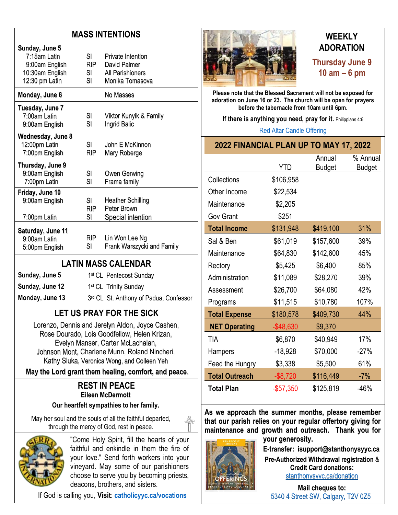#### **MASS INTENTIONS**

| Sunday, June 5<br>7:15am Latin<br>9:00am English<br>10:30am English<br>12:30 pm Latin | SL<br><b>RIP</b><br>SI –<br>SI | Private Intention<br>David Palmer<br>All Parishioners<br>Monika Tomasova |
|---------------------------------------------------------------------------------------|--------------------------------|--------------------------------------------------------------------------|
| Monday, June 6                                                                        |                                | No Masses                                                                |
| Tuesday, June 7<br>7:00am Latin<br>9:00am English                                     | SI<br>SI                       | Viktor Kunyik & Family<br>Ingrid Balic                                   |
| Wednesday, June 8<br>12:00pm Latin<br>7:00pm English                                  | SL<br><b>RIP</b>               | John E McKinnon<br>Mary Roberge                                          |
| Thursday, June 9<br>9:00am English<br>7:00pm Latin                                    | SI<br>SI                       | Owen Gerwing<br>Frama family                                             |
| Friday, June 10<br>9:00am English<br>7:00pm Latin                                     | SI<br><b>RIP</b><br>SI         | <b>Heather Schilling</b><br>Peter Brown<br>Special intention             |
| Saturday, June 11<br>9:00am Latin<br>5:00pm English                                   | RIP -<br>SI                    | Lin Won Lee Ng<br>Frank Warszycki and Family                             |

#### **LATIN MASS CALENDAR**

| Sunday, June 5  | 1 <sup>st</sup> CL Pentecost Sunday    |
|-----------------|----------------------------------------|
| Sunday, June 12 | 1 <sup>st</sup> CL Trinity Sunday      |
| Monday, June 13 | 3rd CL St. Anthony of Padua, Confessor |

### **LET US PRAY FOR THE SICK**

Lorenzo, Dennis and Jerelyn Aldon, Joyce Cashen, Rose Dourado, Lois Goodfellow, Helen Krizan, Evelyn Manser, Carter McLachalan, Johnson Mont, Charlene Munn, Roland Nincheri, Kathy Sluka, Veronica Wong, and Colleen Yeh

#### **May the Lord grant them healing, comfort, and peace**.

#### **REST IN PEACE Eileen McDermott**

#### **Our heartfelt sympathies to her family.**

May her soul and the souls of all the faithful departed, through the mercy of God, rest in peace.



"Come Holy Spirit, fill the hearts of your faithful and enkindle in them the fire of your love." Send forth workers into your vineyard. May some of our parishioners choose to serve you by becoming priests, deacons, brothers, and sisters.

If God is calling you, **Visit**: **[catholicyyc.ca/vocations](http://www.catholicyyc.ca/vocations)**



### **WEEKLY ADORATION Thursday June 9 10 am – 6 pm**

**Please note that the Blessed Sacrament will not be exposed for adoration on June 16 or 23. The church will be open for prayers before the tabernacle from 10am until 6pm.** 

**If there is anything you need, pray for it. Philippians 4:6** 

[Red Altar Candle Offering](https://stanthonysyyc.ca/wp-content/uploads/2020/10/RED-ALTAR-CANDLE-OFFERING.pdf)

| 2022 FINANCIAL PLAN UP TO MAY 17, 2022 |  |  |
|----------------------------------------|--|--|
|----------------------------------------|--|--|

|                       | YTD          | Annual        | % Annual      |
|-----------------------|--------------|---------------|---------------|
|                       |              | <b>Budget</b> | <b>Budget</b> |
| Collections           | \$106,958    |               |               |
| Other Income          | \$22,534     |               |               |
| Maintenance           | \$2,205      |               |               |
| <b>Gov Grant</b>      | \$251        |               |               |
| <b>Total Income</b>   | \$131,948    | \$419,100     | 31%           |
| Sal & Ben             | \$61,019     | \$157,600     | 39%           |
| Maintenance           | \$64,830     | \$142,600     | 45%           |
| Rectory               | \$5,425      | \$6,400       | 85%           |
| Administration        | \$11,089     | \$28,270      | 39%           |
| Assessment            | \$26,700     | \$64,080      | 42%           |
| Programs              | \$11,515     | \$10,780      | 107%          |
| <b>Total Expense</b>  | \$180,578    | \$409,730     | 44%           |
| <b>NET Operating</b>  | $-$ \$48,630 | \$9,370       |               |
| TIA                   | \$6,870      | \$40,949      | 17%           |
| Hampers               | $-18,928$    | \$70,000      | $-27%$        |
| Feed the Hungry       | \$3,338      | \$5,500       | 61%           |
| <b>Total Outreach</b> | $-$ \$8,720  | \$116,449     | $-7%$         |
| <b>Total Plan</b>     | $-$ \$57,350 | \$125,819     | $-46%$        |

**As we approach the summer months, please remember that our parish relies on your regular offertory giving for maintenance and growth and outreach. Thank you for** 



**your generosity. E-transfer: isupport@stanthonysyyc.ca Pre-Authorized Withdrawal registration** & **Credit Card donations:** [stanthonysyyc.ca/donation](https://stanthonysyyc.ca/donation/)

**Mail cheques to:** 5340 4 Street SW, Calgary, T2V 0Z5